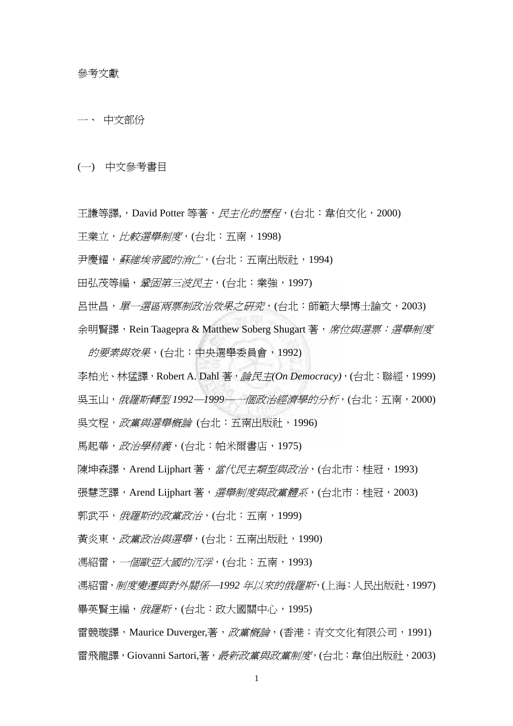一、 中文部份

(一) 中文參考書目

王謙等譯,, David Potter 等著, 民主化的歷程, (台北: 韋伯文化, 2000)

王業立,比較選舉制度,(台北:五南,1998)

尹慶耀, 蘇維埃帝國的消亡, (台北: 五南出版社, 1994)

田弘茂等編, 登固第三波民主, (台北: 業強, 1997)

呂世昌, 單一選區兩票制政治效果之研究, (台北:師範大學博士論文, 2003)

余明賢譯, Rein Taagepra & Matthew Soberg Shugart 著, 席位與選票:選舉制度

的要素與效果,(台北:中央選舉委員會,1992)

李柏光、林猛譯,Robert A. Dahl 著, 論民主(On Democracy), (台北:聯經, 1999)

吳玉山,俄羅斯轉型 *1992*─*1999*─一個政治經濟學的分析,(台北:五南,2000)

吳文程, 政黨與選舉概論 (台北: 五南出版社, 1996)

馬起華, 政治學精義, (台北: 帕米爾書店, 1975)

陳坤森譯,Arend Lijphart 著, *當代民主類型與政治*, (台北市: 桂冠, 1993)

張慧芝譯, Arend Lijphart 著, 選舉制度與政黨體系, (台北市:桂冠, 2003)

郭武平, 俄羅斯的政黨政治, (台北: 五南, 1999)

黃炎東, 政黨政治與選舉, (台北: 五南出版社, 1990)

馮紹雷,一個歐亞大國的沉浮,(台北:五南,1993)

馮紹雷,制度變遷與對外關係─*1992* 年以來的俄羅斯,(上海:人民出版社,1997)

畢英賢主編, 俄羅斯, (台北:政大國關中心, 1995)

雷競璇譯,Maurice Duverger,著,*政黨概論*,(香港:青文文化有限公司,1991) 雷飛龍譯, Giovanni Sartori.著, 最新政黨與政黨制度, (台北: 韋伯出版社, 2003)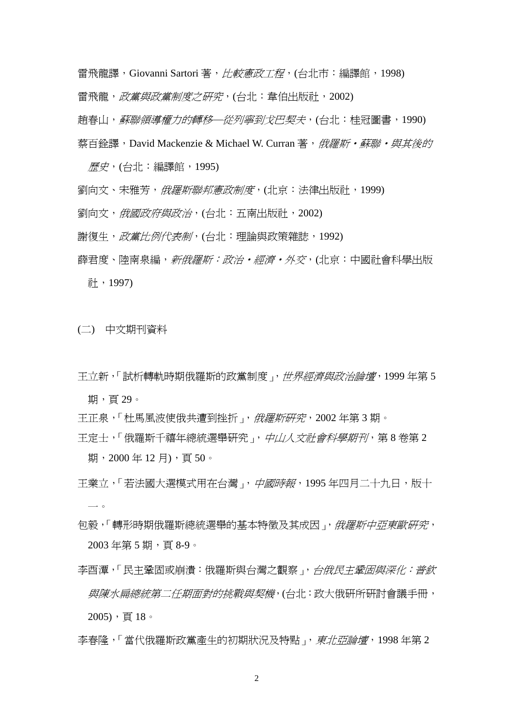雷飛龍譯, Giovanni Sartori 著, *比較憲政工程*, (台北市:編譯館, 1998)

雷飛龍, 政黨與政黨制度之研究, (台北: 韋伯出版社, 2002)

趙春山, 蘇聯領導權力的轉移一從列寧到戈巴契夫, (台北: 桂冠圖書, 1990)

蔡百銓譯, David Mackenzie & Michael W. Curran 著, 俄羅斯·蘇聯·與其後的

歷史,(台北:編譯館,1995)

- 劉向文、宋雅芳,*俄羅斯聯邦憲政制度*,(北京:法律出版社,1999)
- 劉向文, *俄國政府與政治*, (台北: 五南出版社, 2002)
- 謝復生, 政黨比例代表制, (台北:理論與政策雜誌, 1992)
- 薛君度、陸南泉編, *新俄羅斯:政治·經濟·外交*, (北京: 中國社會科學出版 社,1997)

(二) 中文期刊資料

- 王立新,「試析轉軌時期俄羅斯的政黨制度」,世界經濟與政治論壇,1999 年第 5 期,頁29。
- 王正泉,「杜馬風波使俄共遭到挫折」, 俄羅斯研究, 2002年第3期。
- 王定士,「俄羅斯千禧年總統選舉研究」,中山人文社會科學期刊,第8卷第2 期, 2000年12月), 百50。
- 王業立,「若法國大選模式用在台灣」,中國時報,1995年四月二十九日,版十 一。
- 句毅,「轉形時期俄羅斯總統選舉的基本特徵及其成因」, *俄羅斯中亞東歐研究*, 2003 年第 5 期,頁 8-9。
- 李酉潭,「民主鞏固或崩潰:俄羅斯與台灣之觀察」,台俄民主鞏固與深化:普欽 與陳水扁總統第二任期面對的挑戰與契機,(台北:政大俄研所研討會議手冊,  $2005)$ ,頁 $18$ 。
- 李春隆,「當代俄羅斯政黨產生的初期狀況及特點」, 東北亞論壇, 1998年第2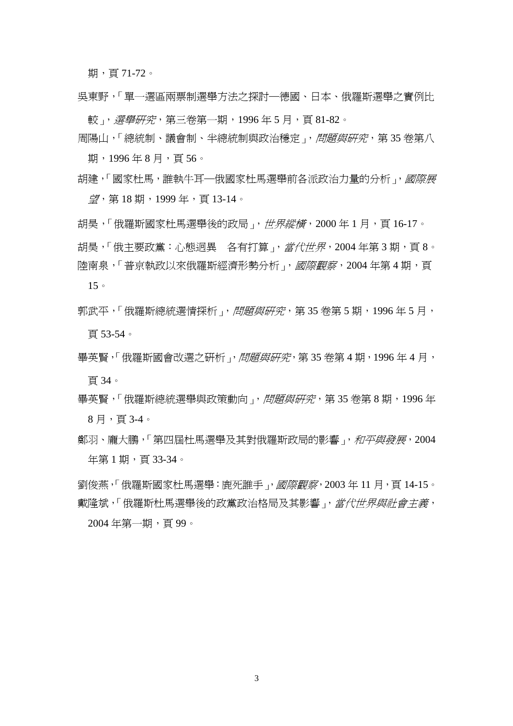期,頁 71-72。

吳東野,「單一選區兩票制選舉方法之探討─德國、日本、俄羅斯選舉之實例比

較」,選舉研究,第三卷第一期,1996年5月,百81-82。

- 周陽山,「總統制、議會制、半總統制與政治穩定」,問題與研究,第 35 卷第八 期,1996年8月,百56。
- 胡建,「國家杜馬,誰執牛耳—俄國家杜馬選舉前各派政治力量的分析 」, *國際展* 望,第 18 期,1999 年,頁 13-14。

胡昊,「俄羅斯國家杜馬選舉後的政局」, *世界縱橫*, 2000 年 1 月, 頁 16-17。 胡昊,「俄主要政黨:心態迥異 各有打算」, 當代世界, 2004年第3期, 頁8。 陸南泉,「普京執政以來俄羅斯經濟形勢分析」, 國際觀察, 2004年第4期, 頁

15。

- 郭武平,「俄羅斯總統選情探析」,問題與研究,第 35 卷第 5 期, 1996年 5 月, 頁 53-54。
- 畢英賢,「俄羅斯國會改選之研析」, 問題與研究, 第35 卷第4期, 1996年4月, 頁 34。
- 畢英賢,「俄羅斯總統選舉與政策動向」,*問題與研究*,第 35 卷第 8 期,1996 年 8 月,頁 3-4。
- 鄭羽、龐大鵬,「第四屆杜馬選舉及其對俄羅斯政局的影響」,和平與發展,2004 年第 1 期,頁 33-34。

劉俊燕,「俄羅斯國家杜馬選舉:鹿死誰手」, *國際觀察*, 2003 年 11 月, 頁 14-15。 戴隆斌,「俄羅斯杜馬選舉後的政黨政治格局及其影響」, 當代世界與社會主義, 2004 年第一期,頁 99。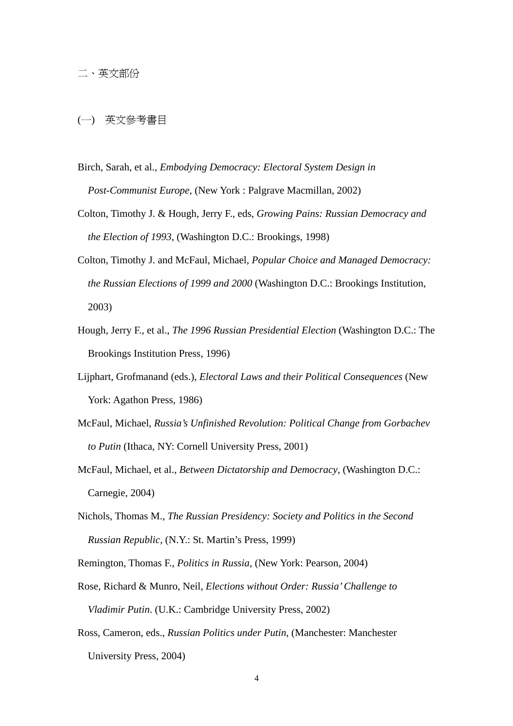(一) 英文參考書目

- Birch, Sarah, et al., *Embodying Democracy: Electoral System Design in Post-Communist Europe*, (New York : Palgrave Macmillan, 2002)
- Colton, Timothy J. & Hough, Jerry F., eds, *Growing Pains: Russian Democracy and the Election of 1993*, (Washington D.C.: Brookings, 1998)
- Colton, Timothy J. and McFaul, Michael, *Popular Choice and Managed Democracy: the Russian Elections of 1999 and 2000* (Washington D.C.: Brookings Institution, 2003)
- Hough, Jerry F., et al., *The 1996 Russian Presidential Election* (Washington D.C.: The Brookings Institution Press, 1996)
- Lijphart, Grofmanand (eds.), *Electoral Laws and their Political Consequences* (New York: Agathon Press, 1986)
- McFaul, Michael, *Russia's Unfinished Revolution: Political Change from Gorbachev to Putin* (Ithaca, NY: Cornell University Press, 2001)
- McFaul, Michael, et al., *Between Dictatorship and Democracy*, (Washington D.C.: Carnegie, 2004)
- Nichols, Thomas M., *The Russian Presidency: Society and Politics in the Second Russian Republic*, (N.Y.: St. Martin's Press, 1999)
- Remington, Thomas F., *Politics in Russia*, (New York: Pearson, 2004)
- Rose, Richard & Munro, Neil, *Elections without Order: Russia' Challenge to Vladimir Putin*. (U.K.: Cambridge University Press, 2002)
- Ross, Cameron, eds., *Russian Politics under Putin*, (Manchester: Manchester University Press, 2004)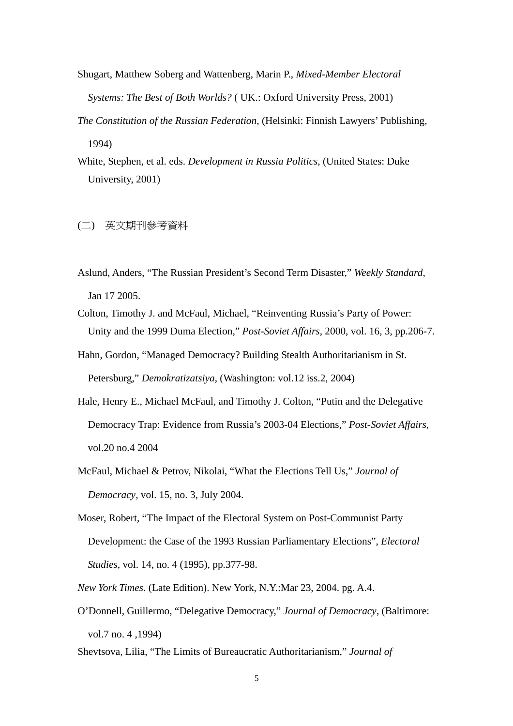- Shugart, Matthew Soberg and Wattenberg, Marin P., *Mixed-Member Electoral Systems: The Best of Both Worlds?* ( UK.: Oxford University Press, 2001)
- *The Constitution of the Russian Federation*, (Helsinki: Finnish Lawyers' Publishing, 1994)
- White, Stephen, et al. eds. *Development in Russia Politics*, (United States: Duke University, 2001)

## (二) 英文期刊參考資料

- Aslund, Anders, "The Russian President's Second Term Disaster," *Weekly Standard*, Jan 17 2005.
- Colton, Timothy J. and McFaul, Michael, "Reinventing Russia's Party of Power: Unity and the 1999 Duma Election," *Post-Soviet Affairs*, 2000, vol. 16, 3, pp.206-7.
- Hahn, Gordon, "Managed Democracy? Building Stealth Authoritarianism in St. Petersburg," *Demokratizatsiya*, (Washington: vol.12 iss.2, 2004)
- Hale, Henry E., Michael McFaul, and Timothy J. Colton, "Putin and the Delegative Democracy Trap: Evidence from Russia's 2003-04 Elections," *Post-Soviet Affairs*, vol.20 no.4 2004
- McFaul, Michael & Petrov, Nikolai, "What the Elections Tell Us," *Journal of Democracy*, vol. 15, no. 3, July 2004.
- Moser, Robert, "The Impact of the Electoral System on Post-Communist Party Development: the Case of the 1993 Russian Parliamentary Elections", *Electoral Studies*, vol. 14, no. 4 (1995), pp.377-98.
- *New York Times*. (Late Edition). New York, N.Y.:Mar 23, 2004. pg. A.4.
- O'Donnell, Guillermo, "Delegative Democracy," *Journal of Democracy*, (Baltimore: vol.7 no. 4 ,1994)
- Shevtsova, Lilia, "The Limits of Bureaucratic Authoritarianism," *Journal of*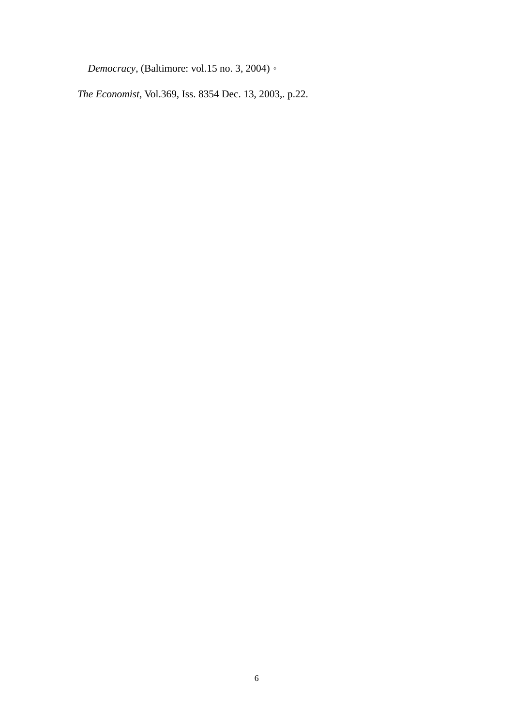*Democracy*, (Baltimore: vol.15 no. 3, 2004)。

*The Economist*, Vol.369, Iss. 8354 Dec. 13, 2003,. p.22.